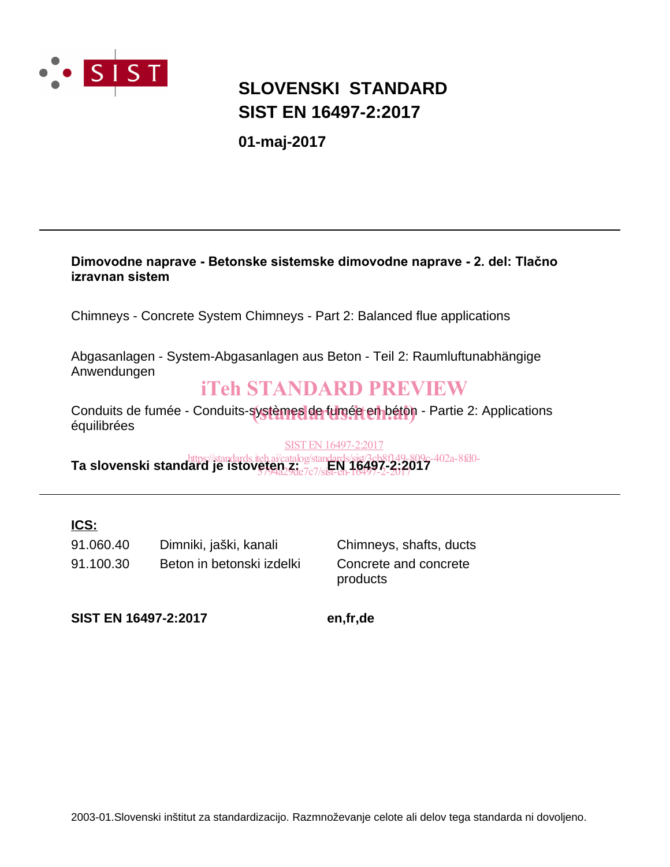

## **SIST EN 16497-2:2017 SLOVENSKI STANDARD**

**01-maj-2017**

#### Dimovodne naprave - Betonske sistemske dimovodne naprave - 2. del: Tlačno **izravnan sistem**

Chimneys - Concrete System Chimneys - Part 2: Balanced flue applications

Abgasanlagen - System-Abgasanlagen aus Beton - Teil 2: Raumluftunabhängige Anwendungen

## iTeh STANDARD PREVIEW

Conduits de fumée - Conduits-systèmes de fumée en béton - Partie 2: Applications<br>équilibrées équilibrées

SIST EN 16497-2:2017

**Ta slovenski standard je istoveten zi**catalog/standards/sist/3cb8f149-809c-402a-8fd0-<br>**Ta slovenski standard je istoveten Ziazzzisteb, 16497-2:2017** 5794a29de7c7/sist-en-16497-2-2017

### **ICS:**

91.100.30 Beton in betonski izdelki Concrete and concrete 91.060.40 Dimniki, jaški, kanali Chimneys, shafts, ducts

products

**SIST EN 16497-2:2017 en,fr,de**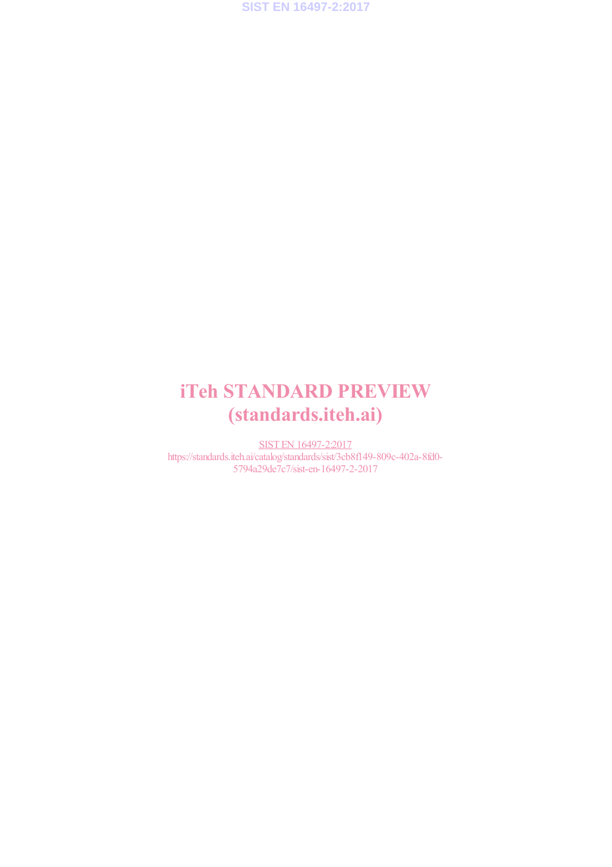**SIST EN 16497-2:2017**

## iTeh STANDARD PREVIEW (standards.iteh.ai)

SIST EN 16497-2:2017 https://standards.iteh.ai/catalog/standards/sist/3cb8f149-809c-402a-8fd0- 5794a29de7c7/sist-en-16497-2-2017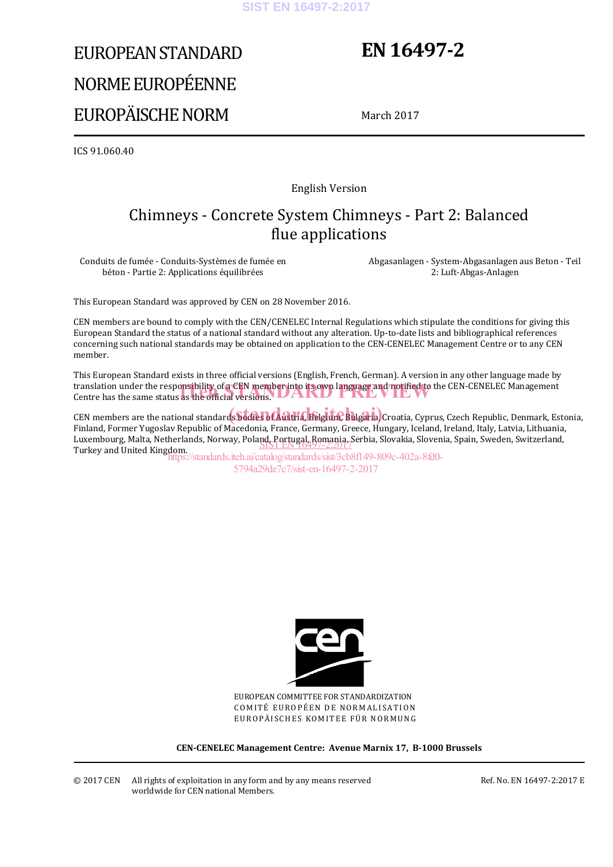#### **SIST EN 16497-2:2017**

# EUROPEAN STANDARD NORME EUROPÉENNE EUROPÄISCHE NORM

## **EN 16497-2**

March 2017

ICS 91.060.40

English Version

## Chimneys - Concrete System Chimneys - Part 2: Balanced flue applications

Conduits de fumée - Conduits-Systèmes de fumée en béton - Partie 2: Applications équilibrées

 Abgasanlagen - System-Abgasanlagen aus Beton - Teil 2: Luft-Abgas-Anlagen

This European Standard was approved by CEN on 28 November 2016.

CEN members are bound to comply with the CEN/CENELEC Internal Regulations which stipulate the conditions for giving this European Standard the status of a national standard without any alteration. Up-to-date lists and bibliographical references concerning such national standards may be obtained on application to the CEN-CENELEC Management Centre or to any CEN member.

This European Standard exists in three official versions (English, French, German). A version in any other language made by translation under the responsibility of a CEN member into its own language and notified to the CEN-CENELEC Management<br>Centre has the same status as the official versions. Centre has the same status as the official versions. **UARD** 

CEN members are the national standards bodies of Austria, Belgium, Bulgaria, Croatia, Cyprus, Czech Republic, Denmark, Estonia, Finland, Former Yugoslav Republic of Macedonia, France, Germany, Greece, Hungary, Iceland, Ireland, Italy, Latvia, Lithuania, Luxembourg, Malta, Netherlands, Norway, Poland, Portugal, Romania, Serbia, Slovakia, Slovenia, Spain, Sweden, Switzerland, Luxembourg, Maria, Nemerianus, Norway, Poland, Portugal, Romania, S<br>Turkey and United Kingdom.

https://standards.iteh.ai/catalog/standards/sist/3cb8f149-809c-402a-8fd0- 5794a29de7c7/sist-en-16497-2-2017



EUROPEAN COMMITTEE FOR STANDARDIZATION COMITÉ EUROPÉEN DE NORMALISATION EUROPÄISCHES KOMITEE FÜR NORMUNG

**CEN-CENELEC Management Centre: Avenue Marnix 17, B-1000 Brussels** 

Ref. No. EN 16497-2:2017 E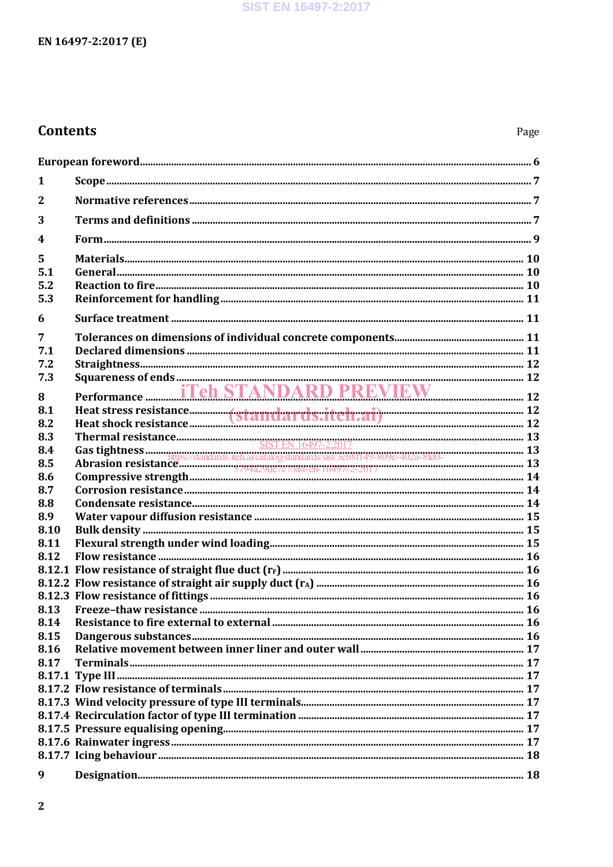## **Contents**

| 1                |                                                    |  |
|------------------|----------------------------------------------------|--|
| $\mathbf{2}$     |                                                    |  |
| 3                |                                                    |  |
| $\boldsymbol{4}$ |                                                    |  |
| 5                |                                                    |  |
| 5.1              |                                                    |  |
| 5.2              |                                                    |  |
| 5.3              |                                                    |  |
| 6                |                                                    |  |
| 7                |                                                    |  |
| 7.1              |                                                    |  |
| 7.2              |                                                    |  |
| 7.3              |                                                    |  |
| 8                | Performance <b>Fig. 17 Teh STANDARD PREVIEW</b> 12 |  |
| 8.1              |                                                    |  |
| 8.2              |                                                    |  |
| 8.3              |                                                    |  |
| 8.4              |                                                    |  |
| 8.5              |                                                    |  |
| 8.6              |                                                    |  |
| 8.7              |                                                    |  |
| 8.8              |                                                    |  |
| 8.9              |                                                    |  |
| 8.10             |                                                    |  |
| 8.11             |                                                    |  |
| 8.12             |                                                    |  |
|                  |                                                    |  |
|                  |                                                    |  |
|                  |                                                    |  |
| 8.13             |                                                    |  |
| 8.14             |                                                    |  |
| 8.15             |                                                    |  |
| 8.16             |                                                    |  |
| 8.17             |                                                    |  |
|                  |                                                    |  |
|                  |                                                    |  |
|                  |                                                    |  |
|                  |                                                    |  |
|                  |                                                    |  |
|                  |                                                    |  |
|                  |                                                    |  |
| 9                |                                                    |  |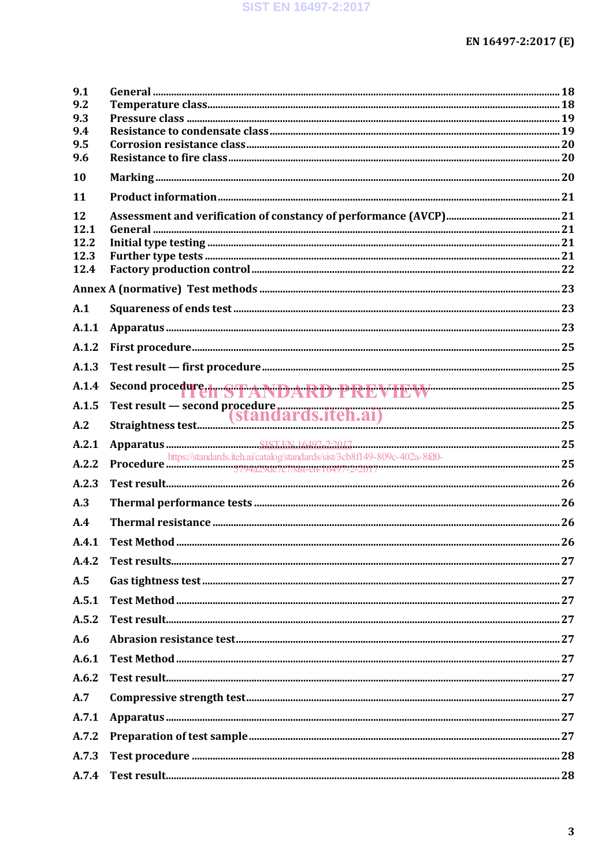| 9.1          |                                            |  |
|--------------|--------------------------------------------|--|
| 9.2<br>9.3   |                                            |  |
| 9.4          |                                            |  |
| 9.5          |                                            |  |
| 9.6          |                                            |  |
| 10           |                                            |  |
| 11           |                                            |  |
| 12           |                                            |  |
| 12.1         |                                            |  |
| 12.2         |                                            |  |
| 12.3<br>12.4 |                                            |  |
|              |                                            |  |
| A.1          |                                            |  |
|              |                                            |  |
| A.1.1        |                                            |  |
| A.1.2        |                                            |  |
| A.1.3        |                                            |  |
| A.1.4        | Second procedure. STANDARD PREVIEW WWW. 25 |  |
| A.1.5        |                                            |  |
| A.2          |                                            |  |
| A.2.1        |                                            |  |
| A.2.2        |                                            |  |
| A.2.3        |                                            |  |
| A.3          |                                            |  |
| A.4          |                                            |  |
| A.4.1        |                                            |  |
| A.4.2        |                                            |  |
| A.5          |                                            |  |
| A.5.1        |                                            |  |
| A.5.2        |                                            |  |
| A.6          |                                            |  |
| A.6.1        |                                            |  |
| A.6.2        |                                            |  |
| A.7          |                                            |  |
| A.7.1        |                                            |  |
| A.7.2        |                                            |  |
| A.7.3        |                                            |  |
| A.7.4        |                                            |  |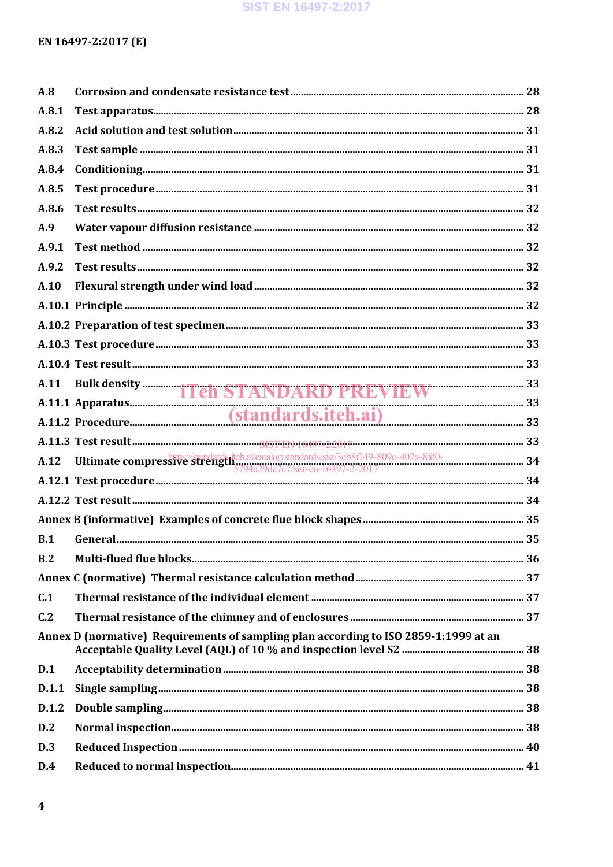#### SIST EN 16497-2:2017

### EN 16497-2:2017 (E)

| A.8   |                                                                                                                    |  |
|-------|--------------------------------------------------------------------------------------------------------------------|--|
| A.8.1 |                                                                                                                    |  |
| A.8.2 |                                                                                                                    |  |
| A.8.3 |                                                                                                                    |  |
| A.8.4 |                                                                                                                    |  |
| A.8.5 |                                                                                                                    |  |
| A.8.6 |                                                                                                                    |  |
| A.9   |                                                                                                                    |  |
| A.9.1 |                                                                                                                    |  |
| A.9.2 |                                                                                                                    |  |
| A.10  |                                                                                                                    |  |
|       |                                                                                                                    |  |
|       |                                                                                                                    |  |
|       |                                                                                                                    |  |
|       |                                                                                                                    |  |
|       |                                                                                                                    |  |
|       |                                                                                                                    |  |
|       | A.11 Bulk density <b>Teh STANDARD PREVIEW</b> 33<br>A.11.1 Apparatus (standards.iteh.ai) 33<br>A.11.2 Procedure 33 |  |
|       |                                                                                                                    |  |
|       |                                                                                                                    |  |
|       |                                                                                                                    |  |
|       |                                                                                                                    |  |
|       |                                                                                                                    |  |
| B.1   |                                                                                                                    |  |
| B.2   |                                                                                                                    |  |
|       |                                                                                                                    |  |
| C.1   |                                                                                                                    |  |
| C.2   |                                                                                                                    |  |
|       | Annex D (normative) Requirements of sampling plan according to ISO 2859-1:1999 at an                               |  |
| D.1   |                                                                                                                    |  |
| D.1.1 |                                                                                                                    |  |
| D.1.2 |                                                                                                                    |  |
| D.2   |                                                                                                                    |  |
| D.3   |                                                                                                                    |  |
| D.4   |                                                                                                                    |  |
|       |                                                                                                                    |  |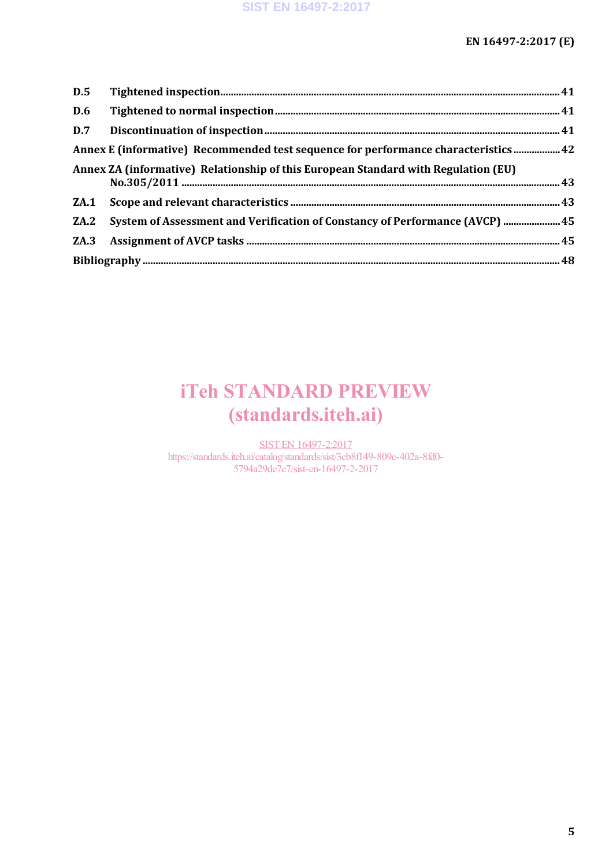| D.5  |                                                                                     |  |
|------|-------------------------------------------------------------------------------------|--|
| D.6  |                                                                                     |  |
|      |                                                                                     |  |
|      |                                                                                     |  |
|      | Annex ZA (informative) Relationship of this European Standard with Regulation (EU)  |  |
|      |                                                                                     |  |
| ZA.2 | <b>System of Assessment and Verification of Constancy of Performance (AVCP)  45</b> |  |
|      |                                                                                     |  |
|      |                                                                                     |  |

## iTeh STANDARD PREVIEW (standards.iteh.ai)

SIST EN 16497-2:2017 https://standards.iteh.ai/catalog/standards/sist/3cb8f149-809c-402a-8fd0- 5794a29de7c7/sist-en-16497-2-2017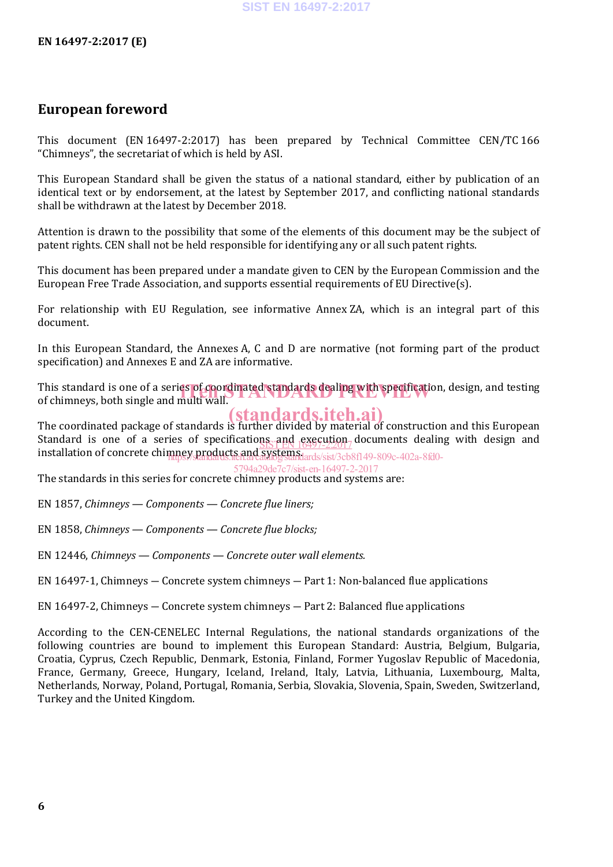## **European foreword**

This document (EN 16497-2:2017) has been prepared by Technical Committee CEN/TC 166 "Chimneys", the secretariat of which is held by ASI.

This European Standard shall be given the status of a national standard, either by publication of an identical text or by endorsement, at the latest by September 2017, and conflicting national standards shall be withdrawn at the latest by December 2018.

Attention is drawn to the possibility that some of the elements of this document may be the subject of patent rights. CEN shall not be held responsible for identifying any or all such patent rights.

This document has been prepared under a mandate given to CEN by the European Commission and the European Free Trade Association, and supports essential requirements of EU Directive(s).

For relationship with EU Regulation, see informative Annex ZA, which is an integral part of this document.

In this European Standard, the Annexes A, C and D are normative (not forming part of the product specification) and Annexes E and ZA are informative.

This standard is one of a series of coordinated standards dealing with specification, design, and testing<br>of chimneys, both single and multi wall. of chimneys, both single and multi wall.

The coordinated package of standards is further divided by material of construction and this European Standard is one of a series of specifications and execution documents dealing with design and installation of concrete chimney products and systems. (standards.iteh.ai) SIST EN 16497-2:2017 mney.products.and.systems.lards/sist/3cb8f149-809c-402a-8fd0-

5794a29de7c7/sist-en-16497-2-2017

The standards in this series for concrete chimney products and systems are:

EN 1857, *Chimneys — Components — Concrete flue liners;*

EN 1858, *Chimneys — Components — Concrete flue blocks;*

EN 12446, *Chimneys — Components — Concrete outer wall elements.*

EN 16497-1, Chimneys ― Concrete system chimneys ― Part 1: Non-balanced flue applications

EN 16497-2, Chimneys ― Concrete system chimneys ― Part 2: Balanced flue applications

According to the CEN-CENELEC Internal Regulations, the national standards organizations of the following countries are bound to implement this European Standard: Austria, Belgium, Bulgaria, Croatia, Cyprus, Czech Republic, Denmark, Estonia, Finland, Former Yugoslav Republic of Macedonia, France, Germany, Greece, Hungary, Iceland, Ireland, Italy, Latvia, Lithuania, Luxembourg, Malta, Netherlands, Norway, Poland, Portugal, Romania, Serbia, Slovakia, Slovenia, Spain, Sweden, Switzerland, Turkey and the United Kingdom.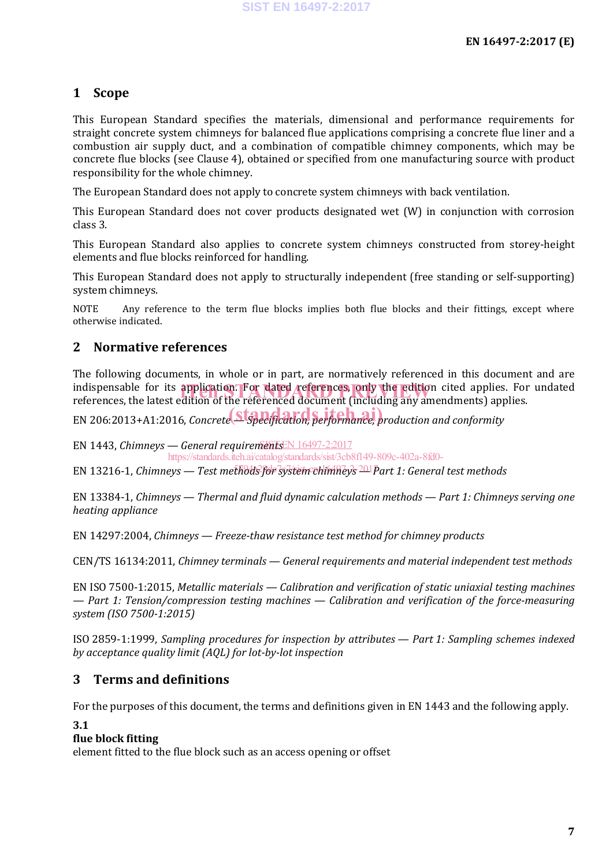### **1 Scope**

This European Standard specifies the materials, dimensional and performance requirements for straight concrete system chimneys for balanced flue applications comprising a concrete flue liner and a combustion air supply duct, and a combination of compatible chimney components, which may be concrete flue blocks (see Clause 4), obtained or specified from one manufacturing source with product responsibility for the whole chimney.

The European Standard does not apply to concrete system chimneys with back ventilation.

This European Standard does not cover products designated wet (W) in conjunction with corrosion class 3.

This European Standard also applies to concrete system chimneys constructed from storey-height elements and flue blocks reinforced for handling.

This European Standard does not apply to structurally independent (free standing or self-supporting) system chimneys.

NOTE Any reference to the term flue blocks implies both flue blocks and their fittings, except where otherwise indicated.

### **2 Normative references**

The following documents, in whole or in part, are normatively referenced in this document and are indispensable for its application. For dated references, only the edition cited applies. For undated<br>references the latest edition of the referenced document (including any amendments) applies. references, the latest edition of the referenced document (including any amendments) applies.

EN 206:2013+A1:2016, *Concrete* Strategier, performance, production and conformity

EN 1443, *Chimneys — General requirementsEN* 16497-22017

https://standards.iteh.ai/catalog/standards/sist/3cb8f149-809c-402a-8fd0-

EN 13216-1, Chimneys — Test methods for system chimneys <sup>201</sup>Part 1: General test methods

EN 13384-1, *Chimneys — Thermal and fluid dynamic calculation methods — Part 1: Chimneys serving one heating appliance*

EN 14297:2004, *Chimneys — Freeze-thaw resistance test method for chimney products*

CEN/TS 16134:2011, *Chimney terminals — General requirements and material independent test methods*

EN ISO 7500-1:2015, *Metallic materials — Calibration and verification of static uniaxial testing machines — Part 1: Tension/compression testing machines — Calibration and verification of the force-measuring system (ISO 7500-1:2015)*

ISO 2859-1:1999, *Sampling procedures for inspection by attributes — Part 1: Sampling schemes indexed by acceptance quality limit (AQL) for lot-by-lot inspection*

#### **3 Terms and definitions**

For the purposes of this document, the terms and definitions given in EN 1443 and the following apply.

#### **3.1**

#### **flue block fitting**

element fitted to the flue block such as an access opening or offset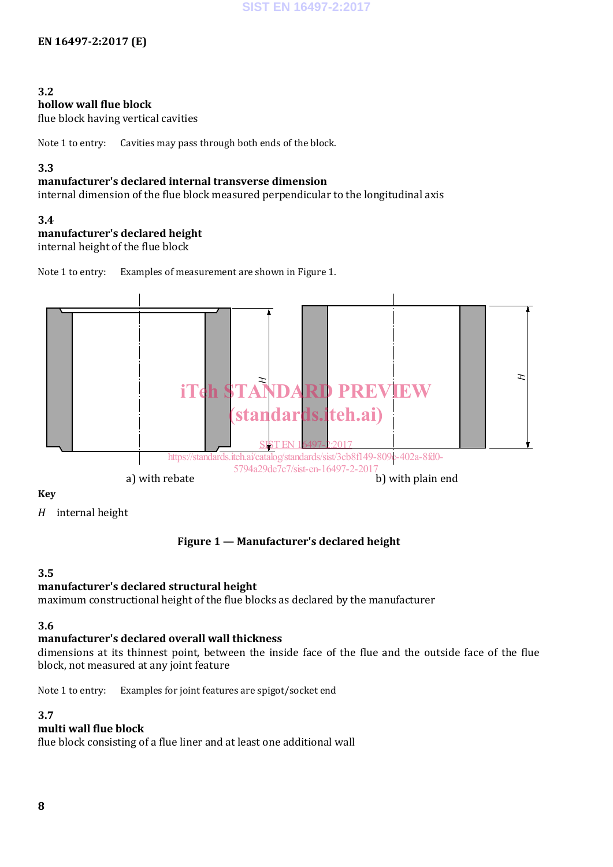#### **3.2**

#### **hollow wall flue block**

flue block having vertical cavities

Note 1 to entry: Cavities may pass through both ends of the block.

#### **3.3**

#### **manufacturer's declared internal transverse dimension**

internal dimension of the flue block measured perpendicular to the longitudinal axis

#### **3.4**

#### **manufacturer's declared height**

internal height of the flue block

Note 1 to entry: Examples of measurement are shown in Figure 1.



**Key**

*H* internal height

#### **Figure 1 — Manufacturer's declared height**

#### **3.5**

#### **manufacturer's declared structural height**

maximum constructional height of the flue blocks as declared by the manufacturer

#### **3.6**

#### **manufacturer's declared overall wall thickness**

dimensions at its thinnest point, between the inside face of the flue and the outside face of the flue block, not measured at any joint feature

Note 1 to entry: Examples for joint features are spigot/socket end

#### **3.7**

#### **multi wall flue block**

flue block consisting of a flue liner and at least one additional wall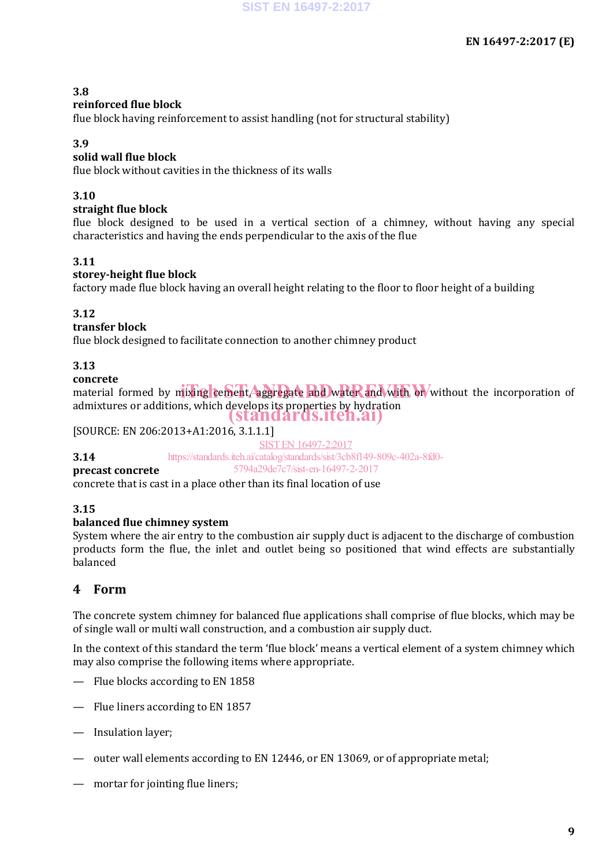#### **3.8**

#### **reinforced flue block**

flue block having reinforcement to assist handling (not for structural stability)

#### **3.9**

#### **solid wall flue block**

flue block without cavities in the thickness of its walls

#### **3.10**

#### **straight flue block**

flue block designed to be used in a vertical section of a chimney, without having any special characteristics and having the ends perpendicular to the axis of the flue

#### **3.11**

#### **storey-height flue block**

factory made flue block having an overall height relating to the floor to floor height of a building

#### **3.12**

#### **transfer block**

flue block designed to facilitate connection to another chimney product

#### **3.13**

#### **concrete**

edited to the definition of the metal contract and water and with or without the incorporation of admixtures or additions, which develops its properties by hydration (standards.iteh.ai)

### [SOURCE: EN 206:2013+A1:2016, 3.1.1.1]

#### **3.14**

SIST EN 16497-2:2017

https://standards.iteh.ai/catalog/standards/sist/3cb8f149-809c-402a-8fd0- 5794a29de7c7/sist-en-16497-2-2017

#### **precast concrete**

concrete that is cast in a place other than its final location of use

#### **3.15**

#### **balanced flue chimney system**

System where the air entry to the combustion air supply duct is adjacent to the discharge of combustion products form the flue, the inlet and outlet being so positioned that wind effects are substantially balanced

#### **4 Form**

The concrete system chimney for balanced flue applications shall comprise of flue blocks, which may be of single wall or multi wall construction, and a combustion air supply duct.

In the context of this standard the term 'flue block' means a vertical element of a system chimney which may also comprise the following items where appropriate.

- Flue blocks according to EN 1858
- Flue liners according to EN 1857
- Insulation layer;
- outer wall elements according to EN 12446, or EN 13069, or of appropriate metal;
- mortar for jointing flue liners;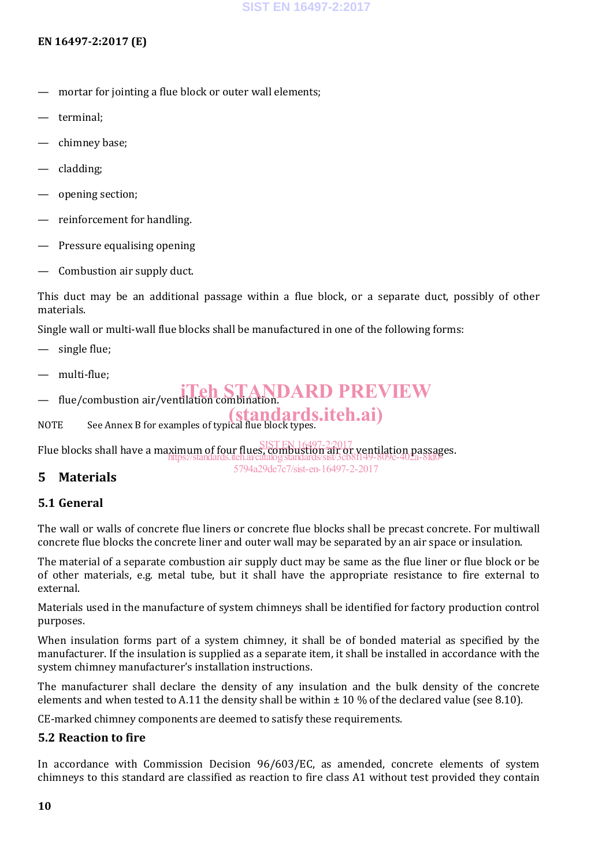#### **EN 16497-2:2017 (E)**

- mortar for jointing a flue block or outer wall elements;
- terminal;
- chimney base;
- cladding;
- opening section;
- reinforcement for handling.
- Pressure equalising opening
- Combustion air supply duct.

This duct may be an additional passage within a flue block, or a separate duct, possibly of other materials.

Single wall or multi-wall flue blocks shall be manufactured in one of the following forms:

- single flue;
- multi-flue;
- flue/combustion air/ventilation combination. iTeh STANDARD PREVIEW
- NOTE See Annex B for examples of typical flue block types. (standards.iteh.ai)

Flue blocks shall have a maximum of four flues, combustion air or ventilation passages. SIST EN 16497-2:2017 https://standards.iteh.ai/catalog/standards/sist/3cb8f149-809c-402a-8fd0-

#### **5 Materials**

#### **5.1 General**

The wall or walls of concrete flue liners or concrete flue blocks shall be precast concrete. For multiwall concrete flue blocks the concrete liner and outer wall may be separated by an air space or insulation.

5794a29de7c7/sist-en-16497-2-2017

The material of a separate combustion air supply duct may be same as the flue liner or flue block or be of other materials, e.g. metal tube, but it shall have the appropriate resistance to fire external to external.

Materials used in the manufacture of system chimneys shall be identified for factory production control purposes.

When insulation forms part of a system chimney, it shall be of bonded material as specified by the manufacturer. If the insulation is supplied as a separate item, it shall be installed in accordance with the system chimney manufacturer's installation instructions.

The manufacturer shall declare the density of any insulation and the bulk density of the concrete elements and when tested to A.11 the density shall be within  $\pm$  10 % of the declared value (see 8.10).

CE-marked chimney components are deemed to satisfy these requirements.

#### **5.2 Reaction to fire**

In accordance with Commission Decision 96/603/EC, as amended, concrete elements of system chimneys to this standard are classified as reaction to fire class A1 without test provided they contain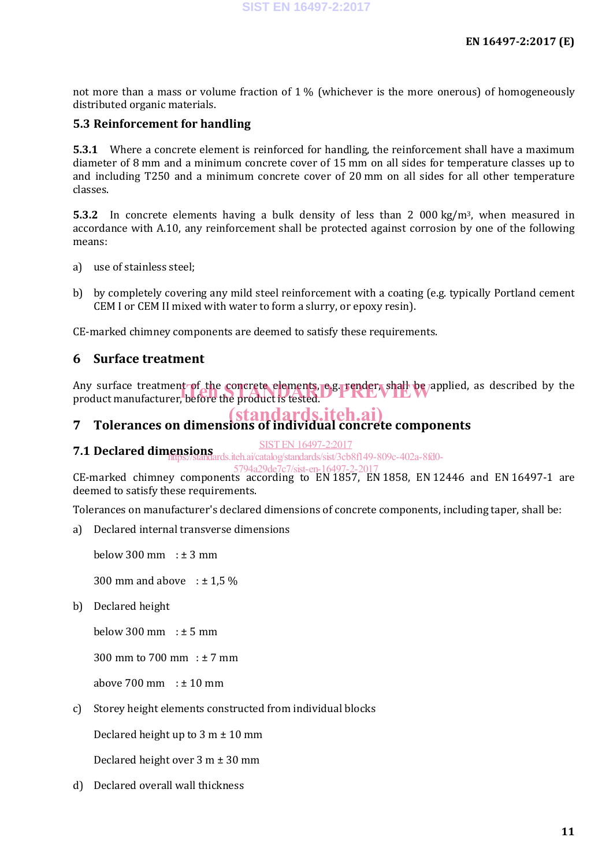not more than a mass or volume fraction of  $1\%$  (whichever is the more onerous) of homogeneously distributed organic materials.

#### **5.3 Reinforcement for handling**

**5.3.1** Where a concrete element is reinforced for handling, the reinforcement shall have a maximum diameter of 8 mm and a minimum concrete cover of 15 mm on all sides for temperature classes up to and including T250 and a minimum concrete cover of 20 mm on all sides for all other temperature classes.

**5.3.2** In concrete elements having a bulk density of less than 2 000 kg/m<sup>3</sup>, when measured in accordance with A.10, any reinforcement shall be protected against corrosion by one of the following means:

- a) use of stainless steel;
- b) by completely covering any mild steel reinforcement with a coating (e.g. typically Portland cement CEM I or CEM II mixed with water to form a slurry, or epoxy resin).

CE-marked chimney components are deemed to satisfy these requirements.

#### **6 Surface treatment**

Any surface treatment of the concrete elements, e.g. render, shall be applied, as described by the product manufacturer, before the product is tested. product manufacturer, before the product is tested.

#### **7 Tolerances on dimensions of individual concrete components** (standards.iteh.ai)

SIST EN 16497-2:2017

**7.1 Declared dimensions**<br> **1.1 Declared dimensions**<br> **1.1 Declared dimensions**<br> **1.1 Declared dimensions** 

#### 5794a29de7c7/sist-en-16497-2

CE-marked chimney components according to EN 1857, EN 1858, EN 12446 and EN 16497-1 are deemed to satisfy these requirements.

Tolerances on manufacturer's declared dimensions of concrete components, including taper, shall be:

a) Declared internal transverse dimensions

below  $300 \text{ mm} : \pm 3 \text{ mm}$ 

300 mm and above  $\pm 1.5 \%$ 

b) Declared height

below 300 mm  $: \pm 5$  mm

300 mm to 700 mm : ± 7 mm

above  $700 \text{ mm} : \pm 10 \text{ mm}$ 

c) Storey height elements constructed from individual blocks

Declared height up to  $3 m \pm 10 mm$ 

Declared height over 3 m ± 30 mm

d) Declared overall wall thickness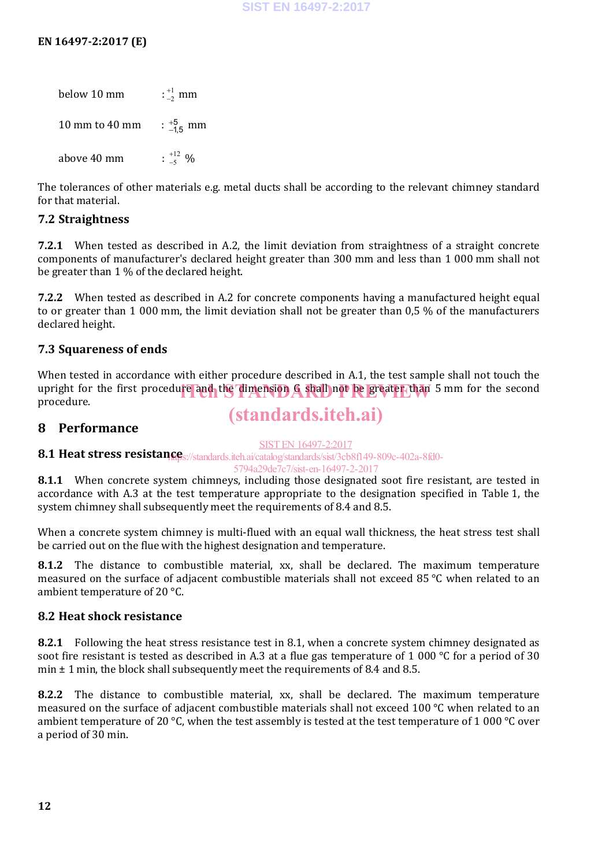below 10 mm : 1 2  $_{-2}^{+1}$  mm  $10 \:\rm mm$  to  $40 \:\rm mm$  $^{+5}_{-1,5}$  mm above 40 mm : 12 5  $^{+12}_{-5}$  %

The tolerances of other materials e.g. metal ducts shall be according to the relevant chimney standard for that material.

#### **7.2 Straightness**

**7.2.1** When tested as described in A.2, the limit deviation from straightness of a straight concrete components of manufacturer's declared height greater than 300 mm and less than 1 000 mm shall not be greater than 1 % of the declared height.

**7.2.2** When tested as described in A.2 for concrete components having a manufactured height equal to or greater than 1 000 mm, the limit deviation shall not be greater than 0,5 % of the manufacturers declared height.

#### **7.3 Squareness of ends**

When tested in accordance with either procedure described in A.1, the test sample shall not touch the upright for the first procedure and the dimension G shall not be greater than 5 mm for the second<br>procedure procedure.

## (standards.iteh.ai)

#### **8 Performance**

#### SIST EN 16497-2:2017

8.1 **Heat stress resistan@e**s://standards.iteh.ai/catalog/standards/sist/3cb8f149-809c-402a-8fd0-

5794a29de7c7/sist-en-16497-2-2017

**8.1.1** When concrete system chimneys, including those designated soot fire resistant, are tested in accordance with A.3 at the test temperature appropriate to the designation specified in Table 1, the system chimney shall subsequently meet the requirements of 8.4 and 8.5.

When a concrete system chimney is multi-flued with an equal wall thickness, the heat stress test shall be carried out on the flue with the highest designation and temperature.

**8.1.2** The distance to combustible material, xx, shall be declared. The maximum temperature measured on the surface of adjacent combustible materials shall not exceed 85 °C when related to an ambient temperature of 20 °C.

#### **8.2 Heat shock resistance**

**8.2.1** Following the heat stress resistance test in 8.1, when a concrete system chimney designated as soot fire resistant is tested as described in A.3 at a flue gas temperature of 1 000 °C for a period of 30 min  $\pm$  1 min, the block shall subsequently meet the requirements of 8.4 and 8.5.

**8.2.2** The distance to combustible material, xx, shall be declared. The maximum temperature measured on the surface of adjacent combustible materials shall not exceed 100 °C when related to an ambient temperature of 20 °C, when the test assembly is tested at the test temperature of 1 000 °C over a period of 30 min.